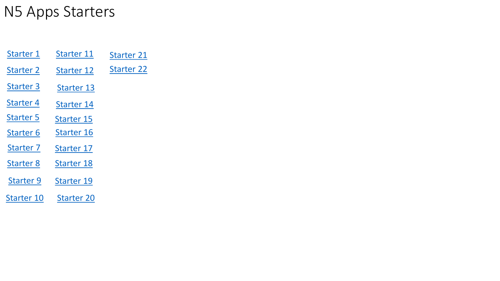## <span id="page-0-0"></span>N5 Apps Starters

| Starter 1         | <b>Starter 11</b>     | <b>Starter 21</b> |
|-------------------|-----------------------|-------------------|
| <b>Starter 2</b>  | Starter <sub>12</sub> | <b>Starter 22</b> |
| <b>Starter 3</b>  | <b>Starter 13</b>     |                   |
| <b>Starter 4</b>  | <b>Starter 14</b>     |                   |
| <b>Starter 5</b>  | <b>Starter 15</b>     |                   |
| <b>Starter 6</b>  | <b>Starter 16</b>     |                   |
| <b>Starter 7</b>  | <b>Starter 17</b>     |                   |
| <b>Starter 8</b>  | <b>Starter 18</b>     |                   |
| <b>Starter 9</b>  | <b>Starter 19</b>     |                   |
| <b>Starter 10</b> | <b>Starter 20</b>     |                   |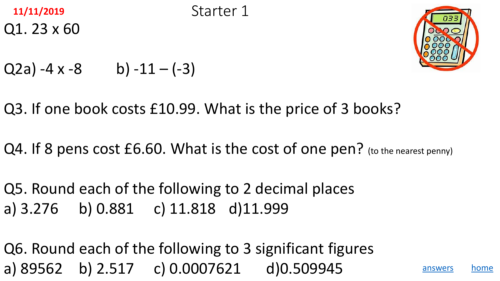<span id="page-1-0"></span>



$$
Q2a) -4x -8
$$
 b)  $-11 - (-3)$ 

Q3. If one book costs £10.99. What is the price of 3 books?

Q4. If 8 pens cost £6.60. What is the cost of one pen? (to the nearest penny)

Q5. Round each of the following to 2 decimal places a) 3.276 b) 0.881 c) 11.818 d)11.999

Q6. Round each of the following to 3 significant figures a) 89562 b) 2.517 c) 0.0007621 d)0.509945 [answers](#page-2-0) [home](#page-0-0)



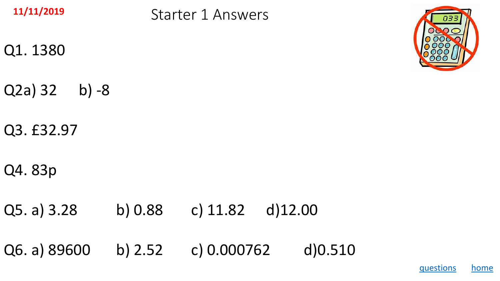<span id="page-2-0"></span>

Starter 1 Answers **11/11/2019**

- Q1. 1380
- Q2a) 32 b) -8
- Q3. £32.97
- Q4. 83p
- Q5. a) 3.28 b) 0.88 c) 11.82 d)12.00

Q6. a) 89600 b) 2.52 c) 0.000762 d)0.510



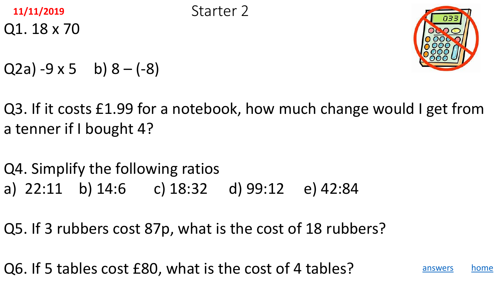<span id="page-3-0"></span>



- $Q2a) -9 \times 5$  b)  $8 (-8)$
- Q3. If it costs £1.99 for a notebook, how much change would I get from a tenner if I bought 4?
- Q4. Simplify the following ratios a) 22:11 b) 14:6 c) 18:32 d) 99:12 e) 42:84
- Q5. If 3 rubbers cost 87p, what is the cost of 18 rubbers?
- Q6. If 5 tables cost £80, what is the cost of 4 tables? And [answers](#page-4-0) a [home](#page-0-0)



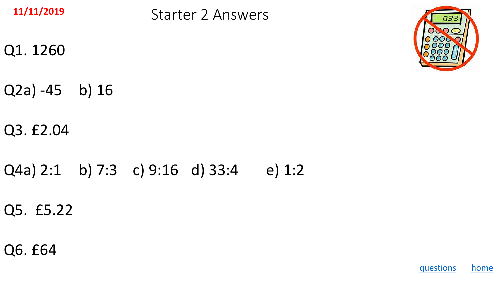<span id="page-4-0"></span>

Starter 2 Answers **11/11/2019**

- Q1. 1260
- Q2a) -45 b) 16
- Q3. £2.04
- Q4a) 2:1 b) 7:3 c) 9:16 d) 33:4 e) 1:2
- Q5. £5.22
- Q6. £64



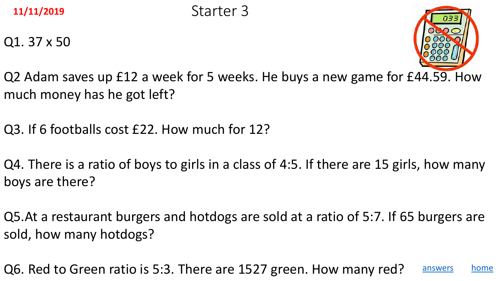<span id="page-5-0"></span>

Q1. 37 x 50



Q2 Adam saves up £12 a week for 5 weeks. He buys a new game for £44.59. How much money has he got left?

Q3. If 6 footballs cost £22. How much for 12?

Q4. There is a ratio of boys to girls in a class of 4:5. If there are 15 girls, how many boys are there?

Q5.At a restaurant burgers and hotdogs are sold at a ratio of 5:7. If 65 burgers are sold, how many hotdogs?

Q6. Red to Green ratio is 5:3. There are 1527 green. How many red? [answers](#page-6-0) [home](#page-0-0)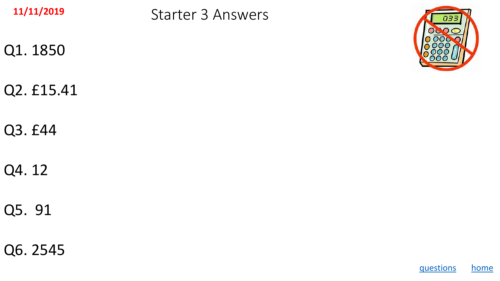<span id="page-6-0"></span>

Starter 3 Answers **11/11/2019**

- Q1. 1850
- Q2. £15.41
- Q3. £44
- Q4. 12
- Q5. 91
- Q6. 2545



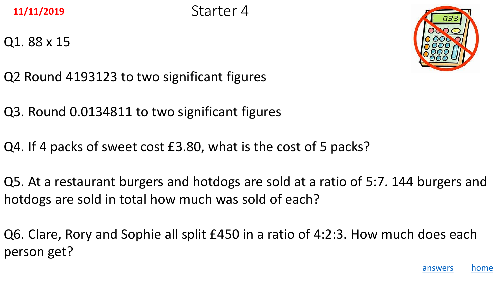<span id="page-7-0"></span>**11/11/2019** Starter 4

Q1. 88 x 15



- Q2 Round 4193123 to two significant figures
- Q3. Round 0.0134811 to two significant figures
- Q4. If 4 packs of sweet cost £3.80, what is the cost of 5 packs?
- Q5. At a restaurant burgers and hotdogs are sold at a ratio of 5:7. 144 burgers and hotdogs are sold in total how much was sold of each?
- Q6. Clare, Rory and Sophie all split £450 in a ratio of 4:2:3. How much does each person get?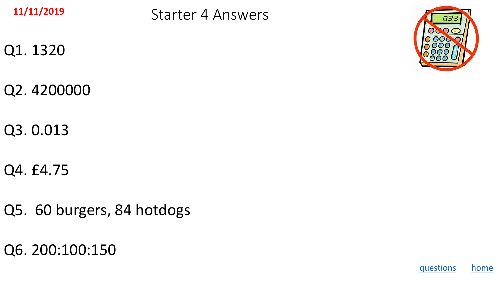<span id="page-8-0"></span>

Starter 4 Answers **11/11/2019**

- Q1. 1320
- Q2. 4200000
- Q3. 0.013
- Q4. £4.75
- Q5. 60 burgers, 84 hotdogs
- Q6. 200:100:150



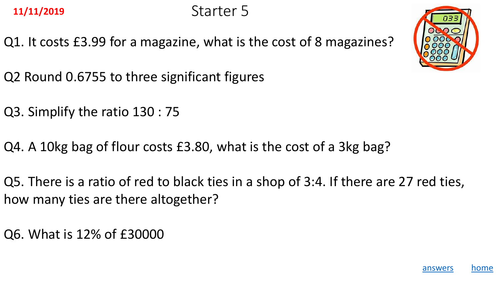<span id="page-9-0"></span>Q1. It costs £3.99 for a magazine, what is the cost of 8 magazines?



- Q2 Round 0.6755 to three significant figures
- Q3. Simplify the ratio 130 : 75
- Q4. A 10kg bag of flour costs £3.80, what is the cost of a 3kg bag?
- Q5. There is a ratio of red to black ties in a shop of 3:4. If there are 27 red ties, how many ties are there altogether?
- Q6. What is 12% of £30000

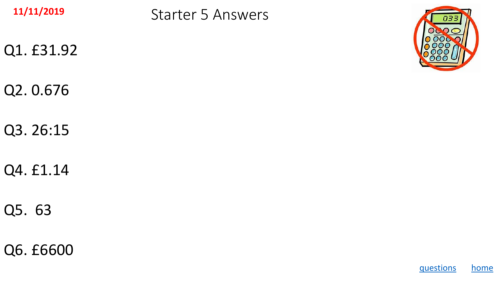<span id="page-10-0"></span>

Starter 5 Answers **11/11/2019**

- Q1. £31.92
- Q2. 0.676
- Q3. 26:15
- Q4. £1.14
- Q5. 63
- Q6. £6600



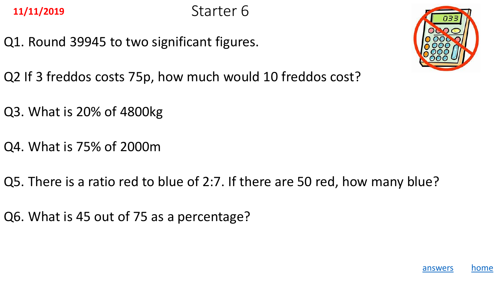<span id="page-11-0"></span>

Q1. Round 39945 to two significant figures.



- Q2 If 3 freddos costs 75p, how much would 10 freddos cost?
- Q3. What is 20% of 4800kg
- Q4. What is 75% of 2000m
- Q5. There is a ratio red to blue of 2:7. If there are 50 red, how many blue?
- Q6. What is 45 out of 75 as a percentage?

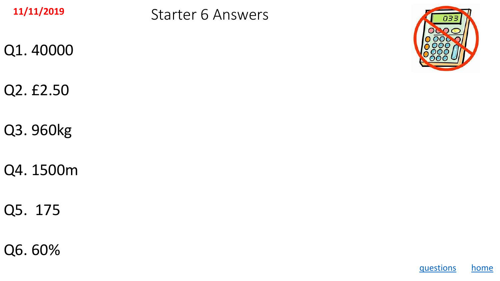<span id="page-12-0"></span>

Starter 6 Answers **11/11/2019**

- Q1. 40000
- Q2. £2.50
- Q3. 960kg
- Q4. 1500m
- Q5. 175
- Q6. 60%



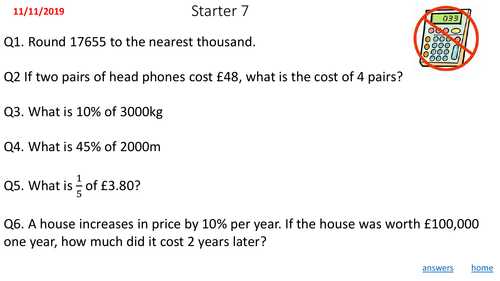<span id="page-13-0"></span>Q1. Round 17655 to the nearest thousand.



- Q2 If two pairs of head phones cost £48, what is the cost of 4 pairs?
- Q3. What is 10% of 3000kg
- Q4. What is 45% of 2000m
- Q5. What is  $\frac{1}{5}$ 5 of £3.80?
- Q6. A house increases in price by 10% per year. If the house was worth £100,000 one year, how much did it cost 2 years later?

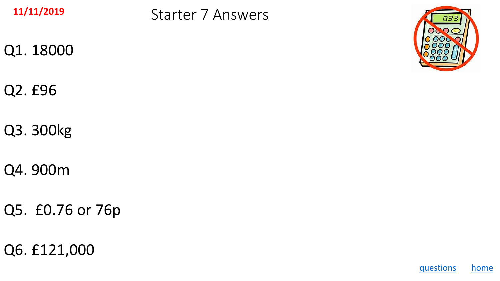<span id="page-14-0"></span>

Starter 7 Answers **11/11/2019**

- Q1. 18000
- Q2. £96
- Q3. 300kg
- Q4. 900m
- Q5. £0.76 or 76p
- Q6. £121,000



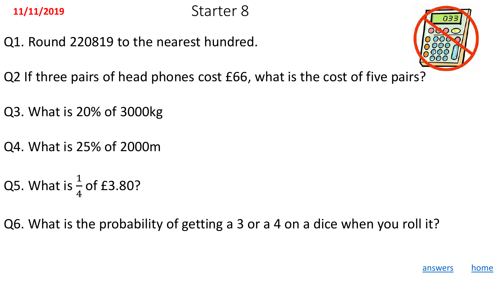<span id="page-15-0"></span>

Q1. Round 220819 to the nearest hundred.



- Q2 If three pairs of head phones cost £66, what is the cost of five pairs?
- Q3. What is 20% of 3000kg
- Q4. What is 25% of 2000m
- Q5. What is  $\frac{1}{4}$ 4 of £3.80?
- Q6. What is the probability of getting a 3 or a 4 on a dice when you roll it?

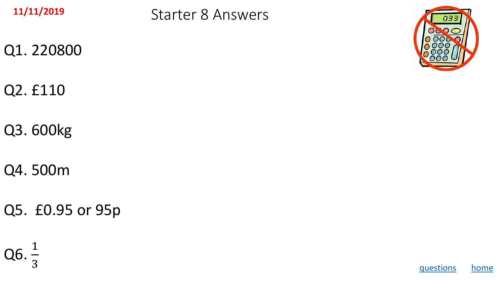<span id="page-16-0"></span>

Starter 8 Answers **11/11/2019**

- Q1. 220800
- Q2. £110
- Q3. 600kg
- Q4. 500m
- Q5. £0.95 or 95p

$$
Q6.\frac{1}{3}
$$



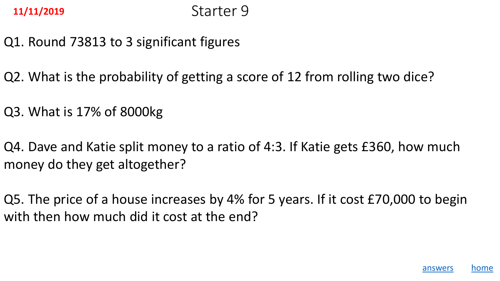- <span id="page-17-0"></span>Q1. Round 73813 to 3 significant figures
- Q2. What is the probability of getting a score of 12 from rolling two dice?
- Q3. What is 17% of 8000kg
- Q4. Dave and Katie split money to a ratio of 4:3. If Katie gets £360, how much money do they get altogether?
- Q5. The price of a house increases by 4% for 5 years. If it cost £70,000 to begin with then how much did it cost at the end?

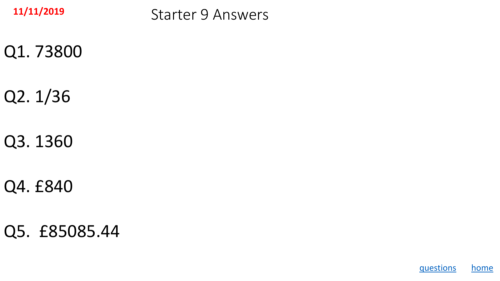<span id="page-18-0"></span>

Starter 9 Answers **11/11/2019**

- Q1. 73800
- Q2. 1/36
- Q3. 1360
- Q4. £840
- Q5. £85085.44

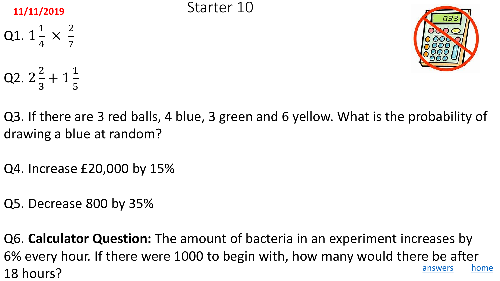### <span id="page-19-0"></span>**11/11/2019** Starter 10

Q1. 1 1 4 × 2 7 Q2. 2 2 3 + 1 1 5



- Q3. If there are 3 red balls, 4 blue, 3 green and 6 yellow. What is the probability of drawing a blue at random?
- Q4. Increase £20,000 by 15%
- Q5. Decrease 800 by 35%
- Q6. **Calculator Question:** The amount of bacteria in an experiment increases by 6% every hour. If there were 1000 to begin with, how many would there be after 18 hours? The subset of the set of the set of the set of the set of the set of the set of the set of the set of the set of the set of the set of the set of the set of the set of the set of the set of the set of the set of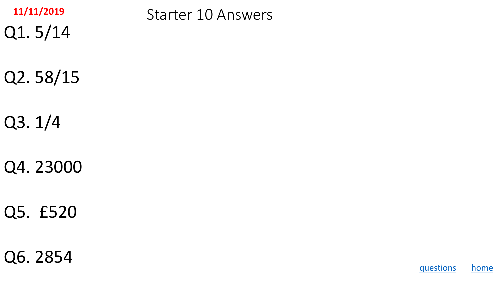<span id="page-20-0"></span>

Q1. 5/14

Starter 10 Answers **11/11/2019**

- Q2. 58/15
- Q3. 1/4
- Q4. 23000
- Q5. £520
- Q6. 2854

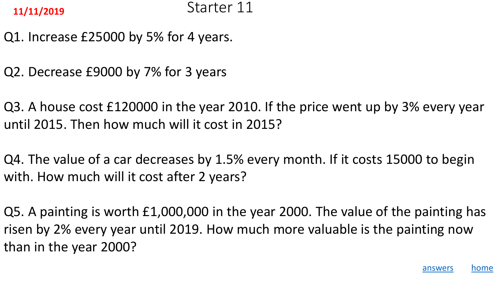- <span id="page-21-0"></span>Q1. Increase £25000 by 5% for 4 years.
- Q2. Decrease £9000 by 7% for 3 years
- Q3. A house cost £120000 in the year 2010. If the price went up by 3% every year until 2015. Then how much will it cost in 2015?
- Q4. The value of a car decreases by 1.5% every month. If it costs 15000 to begin with. How much will it cost after 2 years?
- Q5. A painting is worth £1,000,000 in the year 2000. The value of the painting has risen by 2% every year until 2019. How much more valuable is the painting now than in the year 2000?

[answers](#page-22-0) [home](#page-0-0)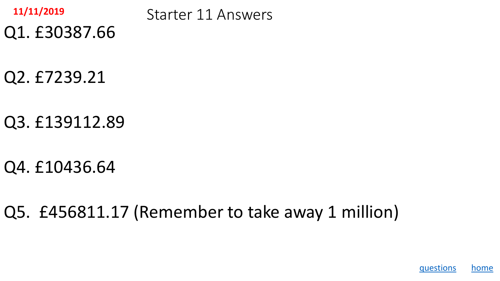<span id="page-22-0"></span>

Starter 11 Answers **11/11/2019**

Q2. £7239.21

Q1. £30387.66

Q3. £139112.89

Q4. £10436.64

Q5. £456811.17 (Remember to take away 1 million)

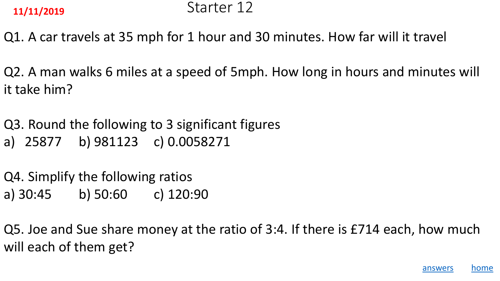<span id="page-23-0"></span>

Q1. A car travels at 35 mph for 1 hour and 30 minutes. How far will it travel

Q2. A man walks 6 miles at a speed of 5mph. How long in hours and minutes will it take him?

Q3. Round the following to 3 significant figures a) 25877 b) 981123 c) 0.0058271

Q4. Simplify the following ratios a) 30:45 b) 50:60 c) 120:90

Q5. Joe and Sue share money at the ratio of 3:4. If there is £714 each, how much will each of them get?

[answers](#page-24-0) [home](#page-0-0)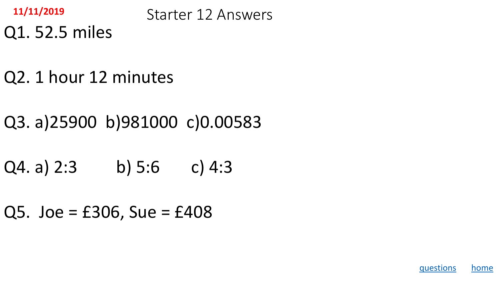<span id="page-24-0"></span>

Starter 12 Answers **11/11/2019**

- Q1. 52.5 miles
- Q2. 1 hour 12 minutes
- Q3. a)25900 b)981000 c)0.00583
- $Q4. a) 2:3 b) 5:6 c) 4:3$
- $Q5.$  Joe = £306, Sue = £408

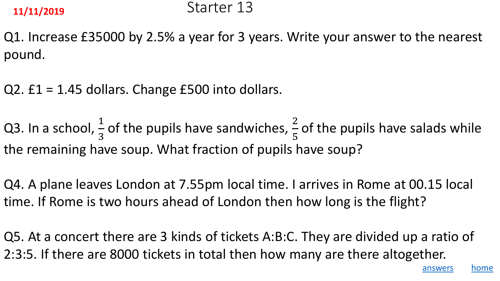<span id="page-25-0"></span>Q1. Increase £35000 by 2.5% a year for 3 years. Write your answer to the nearest pound.

Q2. £1 = 1.45 dollars. Change £500 into dollars.

Q3. In a school,  $\frac{1}{2}$ 3 of the pupils have sandwiches,  $\frac{2}{5}$ 5 of the pupils have salads while the remaining have soup. What fraction of pupils have soup?

Q4. A plane leaves London at 7.55pm local time. I arrives in Rome at 00.15 local time. If Rome is two hours ahead of London then how long is the flight?

Q5. At a concert there are 3 kinds of tickets A:B:C. They are divided up a ratio of 2:3:5. If there are 8000 tickets in total then how many are there altogether.

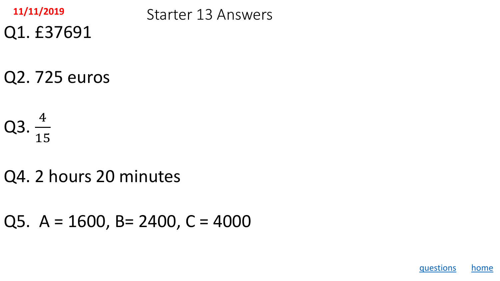<span id="page-26-0"></span>

Q1. £37691

Starter 13 Answers **11/11/2019**

Q2. 725 euros

$$
Q3.\frac{4}{15}
$$

## Q4. 2 hours 20 minutes

Q5.  $A = 1600$ , B = 2400, C = 4000

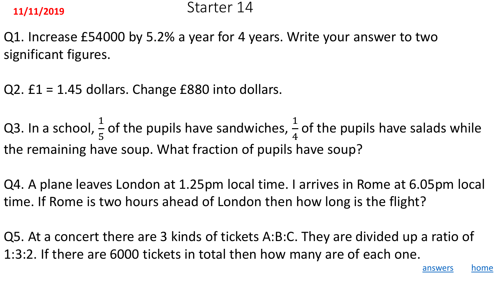<span id="page-27-0"></span>Q1. Increase £54000 by 5.2% a year for 4 years. Write your answer to two significant figures.

Q2. £1 = 1.45 dollars. Change £880 into dollars.

Q3. In a school,  $\frac{1}{5}$ 5 of the pupils have sandwiches,  $\frac{1}{4}$ 4 of the pupils have salads while the remaining have soup. What fraction of pupils have soup?

Q4. A plane leaves London at 1.25pm local time. I arrives in Rome at 6.05pm local time. If Rome is two hours ahead of London then how long is the flight?

Q5. At a concert there are 3 kinds of tickets A:B:C. They are divided up a ratio of 1:3:2. If there are 6000 tickets in total then how many are of each one.

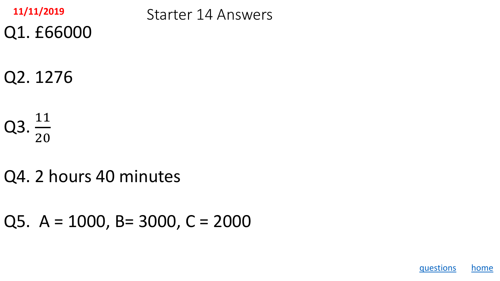<span id="page-28-0"></span>

Q1. £66000

Starter 14 Answers **11/11/2019**

Q2. 1276

 $Q3. \frac{11}{20}$ 20

Q4. 2 hours 40 minutes

Q5. A = 1000, B= 3000, C = 2000

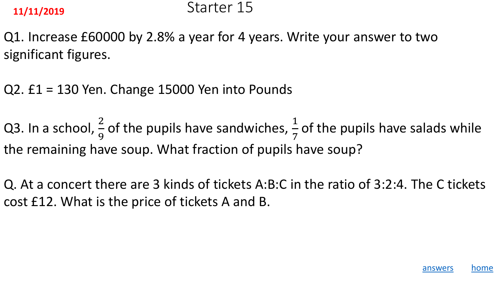### <span id="page-29-0"></span>**11/11/2019** Starter 15

Q1. Increase £60000 by 2.8% a year for 4 years. Write your answer to two significant figures.

Q2. £1 = 130 Yen. Change 15000 Yen into Pounds

Q3. In a school,  $\frac{2}{9}$ 9 of the pupils have sandwiches,  $\frac{1}{7}$ 7 of the pupils have salads while the remaining have soup. What fraction of pupils have soup?

Q. At a concert there are 3 kinds of tickets A:B:C in the ratio of 3:2:4. The C tickets cost £12. What is the price of tickets A and B.

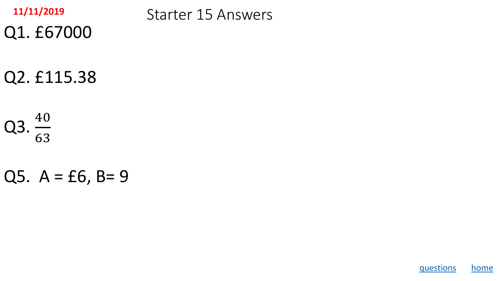<span id="page-30-0"></span>

Starter 15 Answers **11/11/2019**

Q2. £115.38

Q1. £67000

Q3.  $\frac{40}{62}$ 63

Q5.  $A = £6$ ,  $B = 9$ 

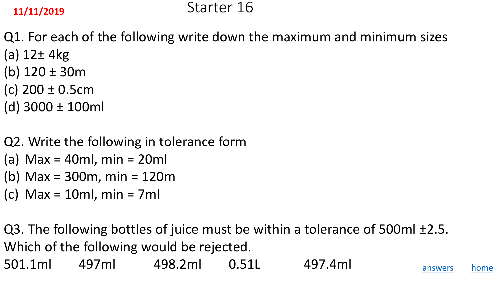### <span id="page-31-0"></span>**11/11/2019** Starter 16

Q1. For each of the following write down the maximum and minimum sizes (a) 12± 4kg

- (b) 120 ± 30m
- (c) 200 ± 0.5cm
- (d) 3000 ± 100ml
- Q2. Write the following in tolerance form
- (a) Max = 40ml,  $min = 20ml$
- (b) Max = 300m, min = 120m
- (c)  $Max = 10ml$ ,  $min = 7ml$

Q3. The following bottles of juice must be within a tolerance of 500ml ±2.5. Which of the following would be rejected.

501.1ml 497ml 498.2ml 0.51L 497.4ml [answers](#page-32-0) [home](#page-0-0)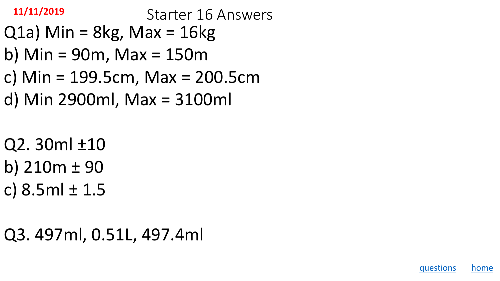<span id="page-32-0"></span>Starter 16 Answers **11/11/2019**

- $Q1a)$  Min = 8kg, Max = 16kg
- b) Min = 90m, Max = 150m
- c) Min = 199.5cm, Max = 200.5cm
- d) Min 2900ml, Max = 3100ml
- Q2. 30ml ±10
- b)  $210m \pm 90$
- c)  $8.5ml \pm 1.5$

Q3. 497ml, 0.51L, 497.4ml

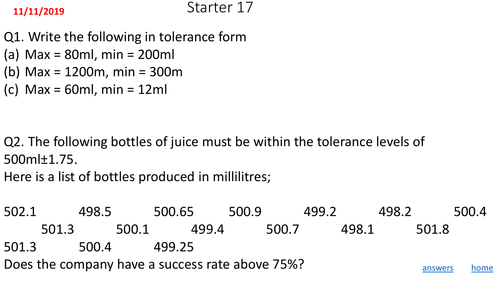- <span id="page-33-0"></span>Q1. Write the following in tolerance form
- (a) Max = 80ml, min = 200ml
- (b) Max = 1200m, min = 300m
- (c) Max = 60ml, min = 12ml

- Q2. The following bottles of juice must be within the tolerance levels of 500ml±1.75.
- Here is a list of bottles produced in millilitres;
- 502.1 498.5 500.65 500.9 499.2 498.2 500.4 501.3 500.1 499.4 500.7 498.1 501.8 501.3 500.4 499.25 Does the company have a success rate above 75%?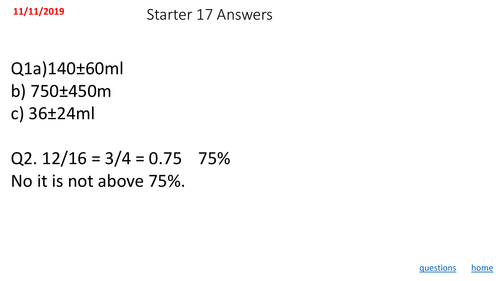<span id="page-34-0"></span>

Starter 17 Answers **11/11/2019**

Q1a)140±60ml b) 750±450m c) 36±24ml

## Q2.  $12/16 = 3/4 = 0.75$  75% No it is not above 75%.

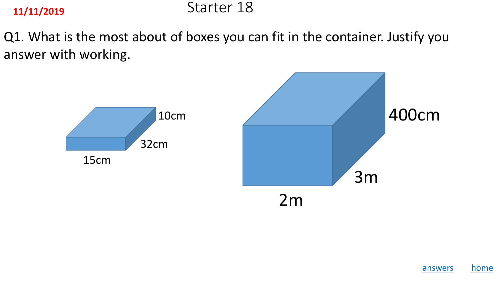## <span id="page-35-0"></span>**11/11/2019** Starter 18

Q1. What is the most about of boxes you can fit in the container. Justify you answer with working.



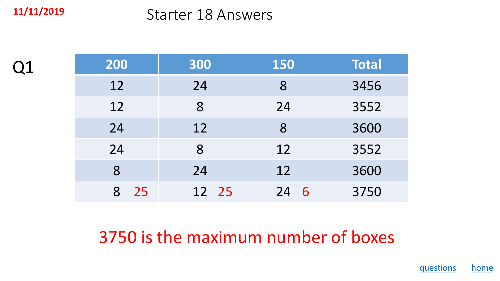Q1

## <span id="page-36-0"></span>Starter 18 Answers **11/11/2019**

| 200     | 300   | <b>150</b> | Total |
|---------|-------|------------|-------|
| 12      | 24    | 8          | 3456  |
| 12      | 8     | 24         | 3552  |
| 24      | 12    | 8          | 3600  |
| 24      | 8     | 12         | 3552  |
| 8       | 24    | 12         | 3600  |
| 25<br>8 | 12 25 | 24<br>6    | 3750  |

3750 is the maximum number of boxes

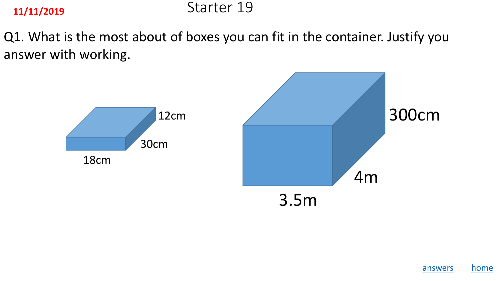## <span id="page-37-0"></span>**11/11/2019** Starter 19

Q1. What is the most about of boxes you can fit in the container. Justify you answer with working.



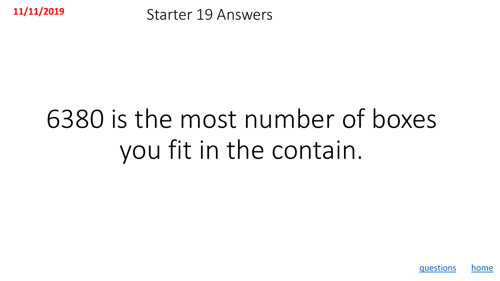<span id="page-38-0"></span>

Starter 19 Answers **11/11/2019**

# 6380 is the most number of boxes you fit in the contain.

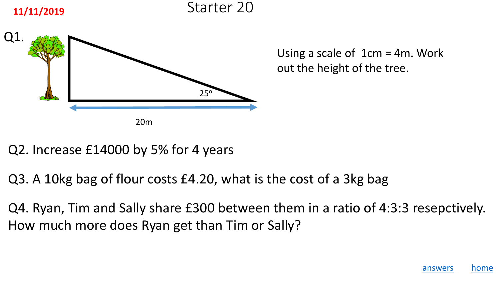<span id="page-39-0"></span>





Using a scale of 1cm = 4m. Work out the height of the tree.

### Q2. Increase £14000 by 5% for 4 years

Q3. A 10kg bag of flour costs £4.20, what is the cost of a 3kg bag

Q4. Ryan, Tim and Sally share £300 between them in a ratio of 4:3:3 resepctively. How much more does Ryan get than Tim or Sally?

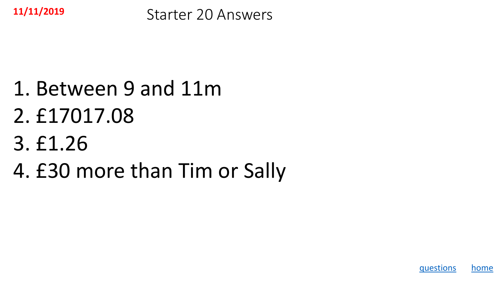<span id="page-40-0"></span>

Starter 20 Answers **11/11/2019**

## 1. Between 9 and 11m

- 2. £17017.08
- 3. £1.26
- 4. £30 more than Tim or Sally

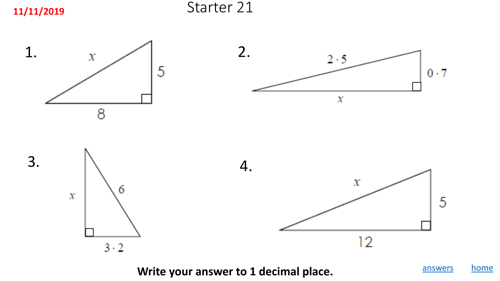<span id="page-41-0"></span>**11/11/2019** Starter 21



**Write your answer to 1 decimal place.**

[answers](#page-42-0) [home](#page-0-0)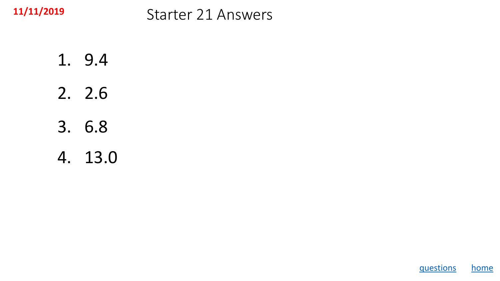<span id="page-42-0"></span>

## Starter 21 Answers **11/11/2019**

1. 9.4 2. 2.6 3. 6.8

4. 13.0

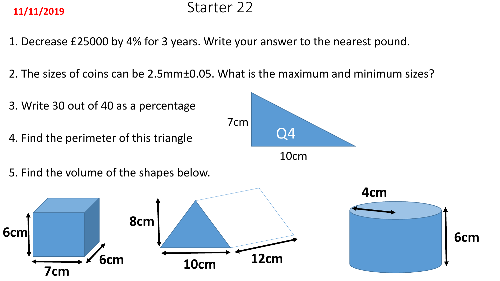## <span id="page-43-0"></span>**11/11/2019** Starter 22

- 1. Decrease £25000 by 4% for 3 years. Write your answer to the nearest pound.
- 2. The sizes of coins can be 2.5mm±0.05. What is the maximum and minimum sizes?
- 3. Write 30 out of 40 as a percentage 4. Find the perimeter of this triangle and the perimeter of this triangle 7cm 10cm 5. Find the volume of the shapes below. **6cm 7cm 6cm 10cm 12cm 8cm 4cm 6cm**